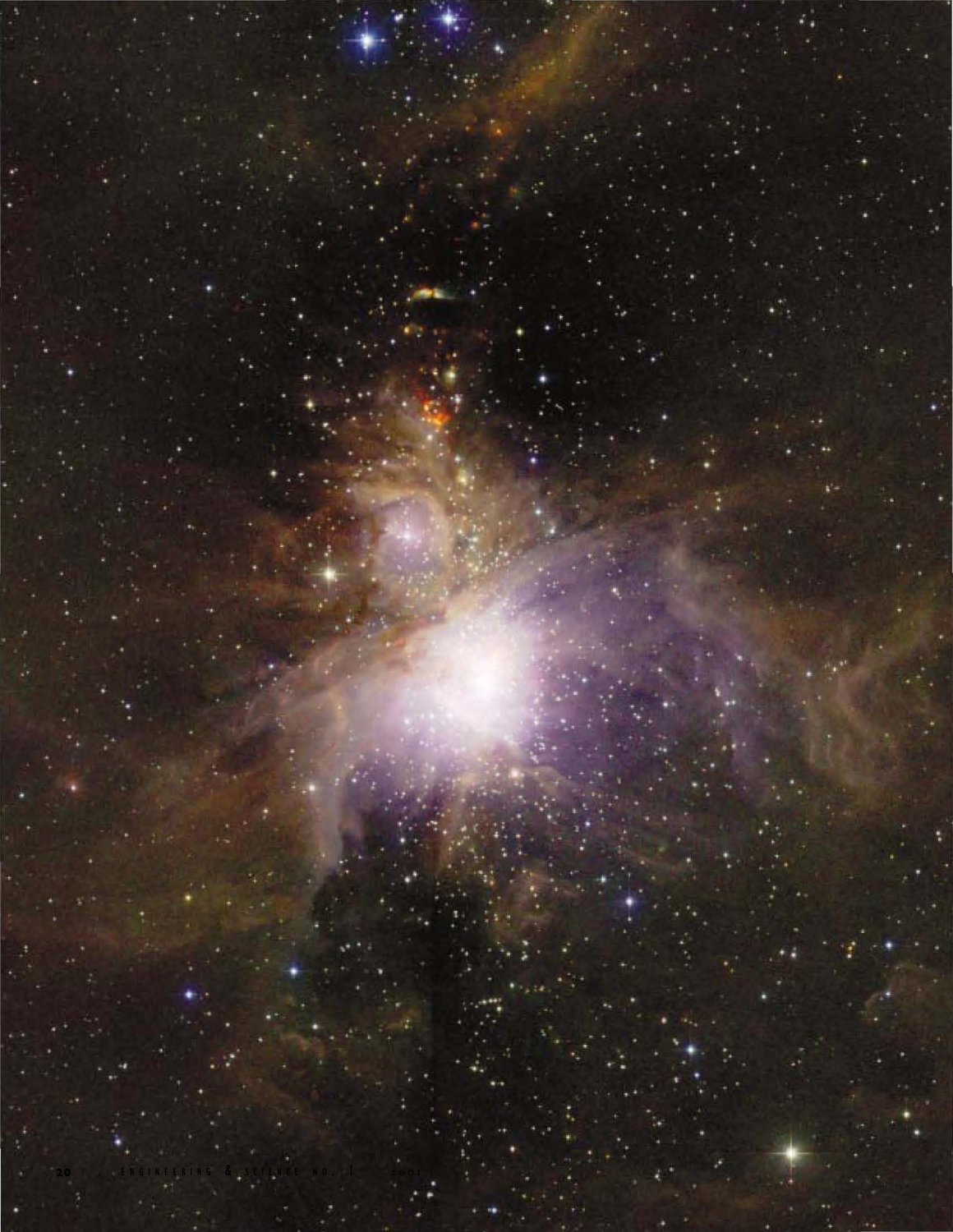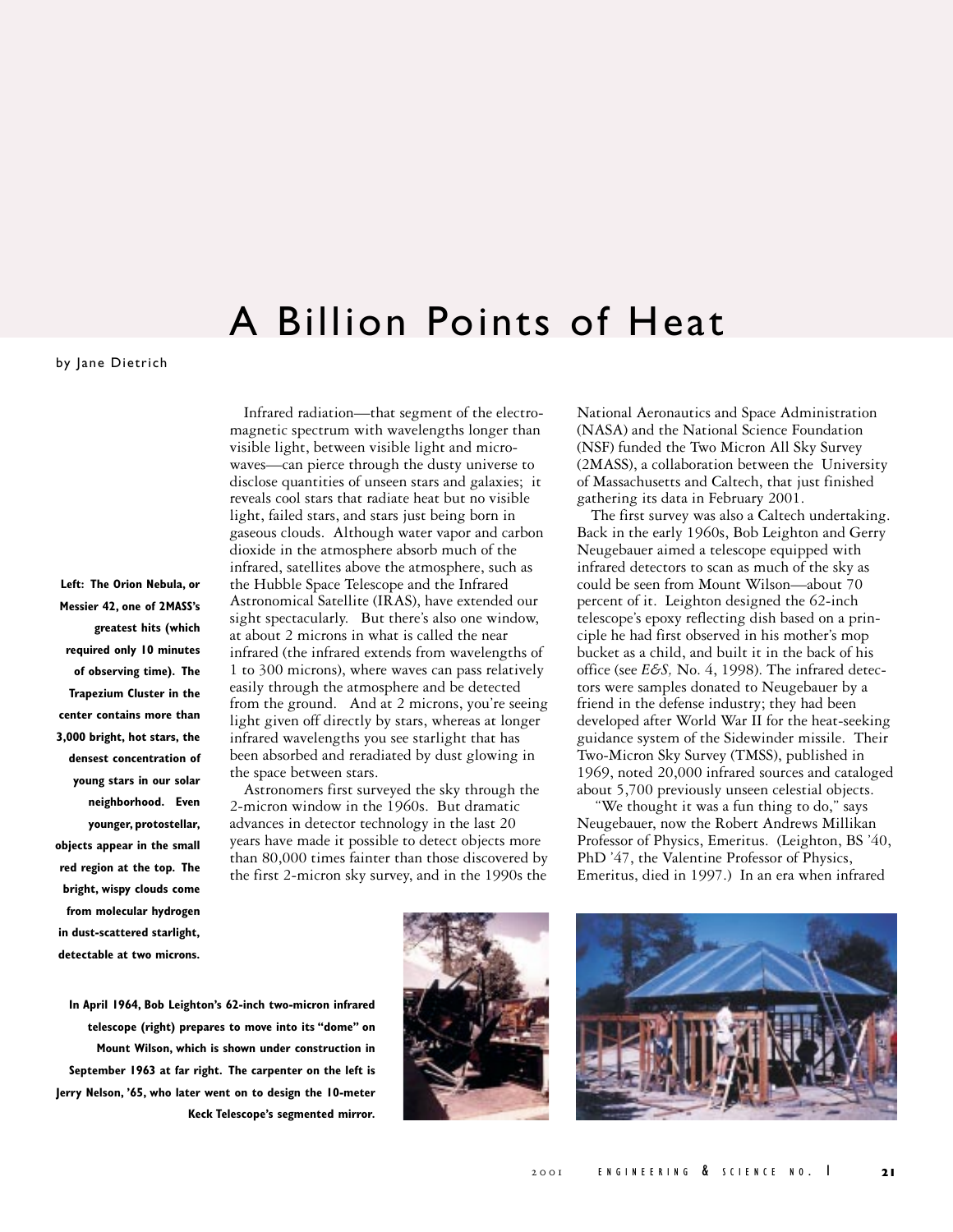## A Billion Points of Heat

by Jane Dietrich

**Left: The Orion Nebula, or Messier 42, one of 2MASS's greatest hits (which required only 10 minutes of observing time). The Trapezium Cluster in the center contains more than 3,000 bright, hot stars, the densest concentration of young stars in our solar neighborhood. Even younger, protostellar, objects appear in the small red region at the top. The bright, wispy clouds come from molecular hydrogen in dust-scattered starlight, detectable at two microns.**

Infrared radiation—that segment of the electromagnetic spectrum with wavelengths longer than visible light, between visible light and microwaves—can pierce through the dusty universe to disclose quantities of unseen stars and galaxies; it reveals cool stars that radiate heat but no visible light, failed stars, and stars just being born in gaseous clouds. Although water vapor and carbon dioxide in the atmosphere absorb much of the infrared, satellites above the atmosphere, such as the Hubble Space Telescope and the Infrared Astronomical Satellite (IRAS), have extended our sight spectacularly. But there's also one window, at about 2 microns in what is called the near infrared (the infrared extends from wavelengths of 1 to 300 microns), where waves can pass relatively easily through the atmosphere and be detected from the ground. And at 2 microns, you're seeing light given off directly by stars, whereas at longer infrared wavelengths you see starlight that has been absorbed and reradiated by dust glowing in the space between stars.

Astronomers first surveyed the sky through the 2-micron window in the 1960s. But dramatic advances in detector technology in the last 20 years have made it possible to detect objects more than 80,000 times fainter than those discovered by the first 2-micron sky survey, and in the 1990s the

National Aeronautics and Space Administration (NASA) and the National Science Foundation (NSF) funded the Two Micron All Sky Survey (2MASS), a collaboration between the University of Massachusetts and Caltech, that just finished gathering its data in February 2001.

The first survey was also a Caltech undertaking. Back in the early 1960s, Bob Leighton and Gerry Neugebauer aimed a telescope equipped with infrared detectors to scan as much of the sky as could be seen from Mount Wilson—about 70 percent of it. Leighton designed the 62-inch telescope's epoxy reflecting dish based on a principle he had first observed in his mother's mop bucket as a child, and built it in the back of his office (see *E&S,* No. 4, 1998). The infrared detectors were samples donated to Neugebauer by a friend in the defense industry; they had been developed after World War II for the heat-seeking guidance system of the Sidewinder missile. Their Two-Micron Sky Survey (TMSS), published in 1969, noted 20,000 infrared sources and cataloged about 5,700 previously unseen celestial objects.

 "We thought it was a fun thing to do," says Neugebauer, now the Robert Andrews Millikan Professor of Physics, Emeritus. (Leighton, BS '40, PhD '47, the Valentine Professor of Physics, Emeritus, died in 1997.) In an era when infrared

**In April 1964, Bob Leighton's 62-inch two-micron infrared telescope (right) prepares to move into its "dome" on Mount Wilson, which is shown under construction in September 1963 at far right. The carpenter on the left is Jerry Nelson, '65, who later went on to design the 10-meter Keck Telescope's segmented mirror.**



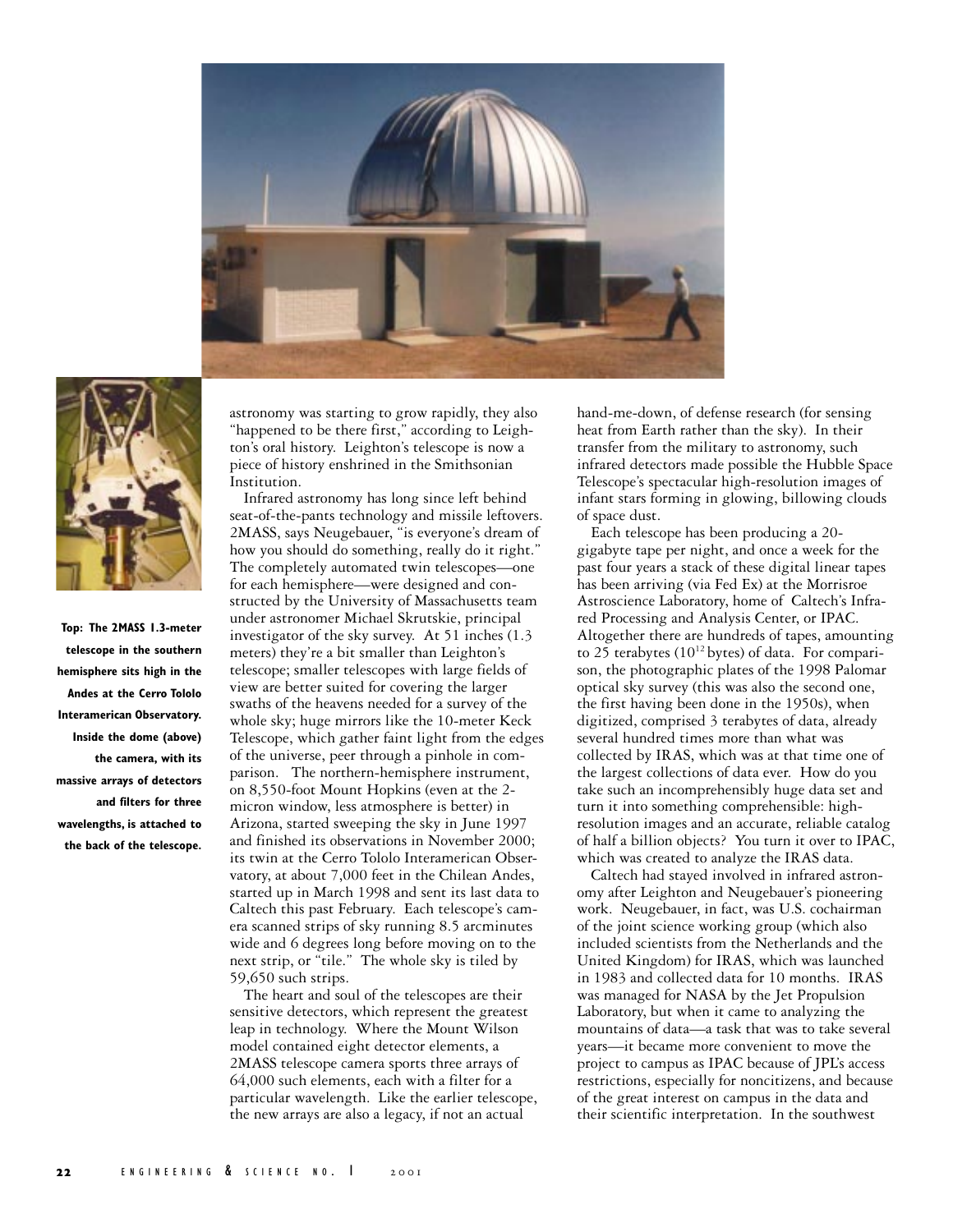



**Top: The 2MASS 1.3-meter telescope in the southern hemisphere sits high in the Andes at the Cerro Tololo Interamerican Observatory. Inside the dome (above) the camera, with its massive arrays of detectors and filters for three wavelengths, is attached to the back of the telescope.** astronomy was starting to grow rapidly, they also "happened to be there first," according to Leighton's oral history. Leighton's telescope is now a piece of history enshrined in the Smithsonian Institution.

Infrared astronomy has long since left behind seat-of-the-pants technology and missile leftovers. 2MASS, says Neugebauer, "is everyone's dream of how you should do something, really do it right." The completely automated twin telescopes—one for each hemisphere—were designed and constructed by the University of Massachusetts team under astronomer Michael Skrutskie, principal investigator of the sky survey. At 51 inches (1.3 meters) they're a bit smaller than Leighton's telescope; smaller telescopes with large fields of view are better suited for covering the larger swaths of the heavens needed for a survey of the whole sky; huge mirrors like the 10-meter Keck Telescope, which gather faint light from the edges of the universe, peer through a pinhole in comparison. The northern-hemisphere instrument, on 8,550-foot Mount Hopkins (even at the 2 micron window, less atmosphere is better) in Arizona, started sweeping the sky in June 1997 and finished its observations in November 2000; its twin at the Cerro Tololo Interamerican Observatory, at about 7,000 feet in the Chilean Andes, started up in March 1998 and sent its last data to Caltech this past February. Each telescope's camera scanned strips of sky running 8.5 arcminutes wide and 6 degrees long before moving on to the next strip, or "tile." The whole sky is tiled by 59,650 such strips.

The heart and soul of the telescopes are their sensitive detectors, which represent the greatest leap in technology. Where the Mount Wilson model contained eight detector elements, a 2MASS telescope camera sports three arrays of 64,000 such elements, each with a filter for a particular wavelength. Like the earlier telescope, the new arrays are also a legacy, if not an actual

hand-me-down, of defense research (for sensing heat from Earth rather than the sky). In their transfer from the military to astronomy, such infrared detectors made possible the Hubble Space Telescope's spectacular high-resolution images of infant stars forming in glowing, billowing clouds of space dust.

Each telescope has been producing a 20 gigabyte tape per night, and once a week for the past four years a stack of these digital linear tapes has been arriving (via Fed Ex) at the Morrisroe Astroscience Laboratory, home of Caltech's Infrared Processing and Analysis Center, or IPAC. Altogether there are hundreds of tapes, amounting to 25 terabytes ( $10^{12}$  bytes) of data. For comparison, the photographic plates of the 1998 Palomar optical sky survey (this was also the second one, the first having been done in the 1950s), when digitized, comprised 3 terabytes of data, already several hundred times more than what was collected by IRAS, which was at that time one of the largest collections of data ever. How do you take such an incomprehensibly huge data set and turn it into something comprehensible: highresolution images and an accurate, reliable catalog of half a billion objects? You turn it over to IPAC, which was created to analyze the IRAS data.

Caltech had stayed involved in infrared astronomy after Leighton and Neugebauer's pioneering work. Neugebauer, in fact, was U.S. cochairman of the joint science working group (which also included scientists from the Netherlands and the United Kingdom) for IRAS, which was launched in 1983 and collected data for 10 months. IRAS was managed for NASA by the Jet Propulsion Laboratory, but when it came to analyzing the mountains of data—a task that was to take several years—it became more convenient to move the project to campus as IPAC because of JPL's access restrictions, especially for noncitizens, and because of the great interest on campus in the data and their scientific interpretation. In the southwest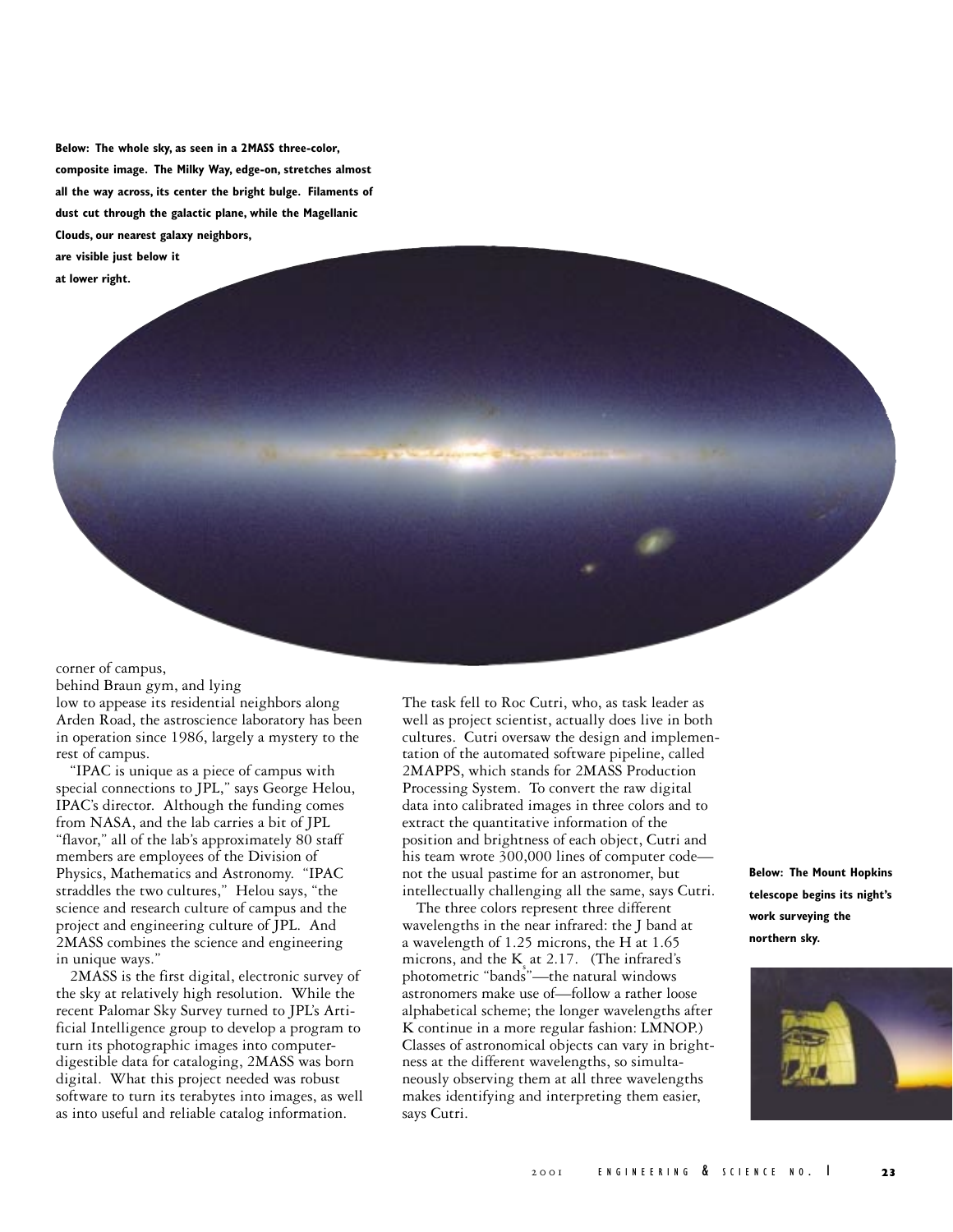**Below: The whole sky, as seen in a 2MASS three-color, composite image. The Milky Way, edge-on, stretches almost all the way across, its center the bright bulge. Filaments of dust cut through the galactic plane, while the Magellanic Clouds, our nearest galaxy neighbors, are visible just below it**

**at lower right.**



behind Braun gym, and lying low to appease its residential neighbors along Arden Road, the astroscience laboratory has been in operation since 1986, largely a mystery to the rest of campus.

"IPAC is unique as a piece of campus with special connections to JPL," says George Helou, IPAC's director. Although the funding comes from NASA, and the lab carries a bit of JPL "flavor," all of the lab's approximately 80 staff members are employees of the Division of Physics, Mathematics and Astronomy. "IPAC straddles the two cultures," Helou says, "the science and research culture of campus and the project and engineering culture of JPL. And 2MASS combines the science and engineering in unique ways."

2MASS is the first digital, electronic survey of the sky at relatively high resolution. While the recent Palomar Sky Survey turned to JPL's Artificial Intelligence group to develop a program to turn its photographic images into computerdigestible data for cataloging, 2MASS was born digital. What this project needed was robust software to turn its terabytes into images, as well as into useful and reliable catalog information.

The task fell to Roc Cutri, who, as task leader as well as project scientist, actually does live in both cultures. Cutri oversaw the design and implementation of the automated software pipeline, called 2MAPPS, which stands for 2MASS Production Processing System. To convert the raw digital data into calibrated images in three colors and to extract the quantitative information of the position and brightness of each object, Cutri and his team wrote 300,000 lines of computer code not the usual pastime for an astronomer, but intellectually challenging all the same, says Cutri.

The three colors represent three different wavelengths in the near infrared: the J band at a wavelength of 1.25 microns, the H at 1.65 microns, and the  $K_{\text{sat}}$  2.17. (The infrared's photometric "bands"—the natural windows astronomers make use of—follow a rather loose alphabetical scheme; the longer wavelengths after K continue in a more regular fashion: LMNOP.) Classes of astronomical objects can vary in brightness at the different wavelengths, so simultaneously observing them at all three wavelengths makes identifying and interpreting them easier, says Cutri.

**Below: The Mount Hopkins telescope begins its night's work surveying the northern sky.**

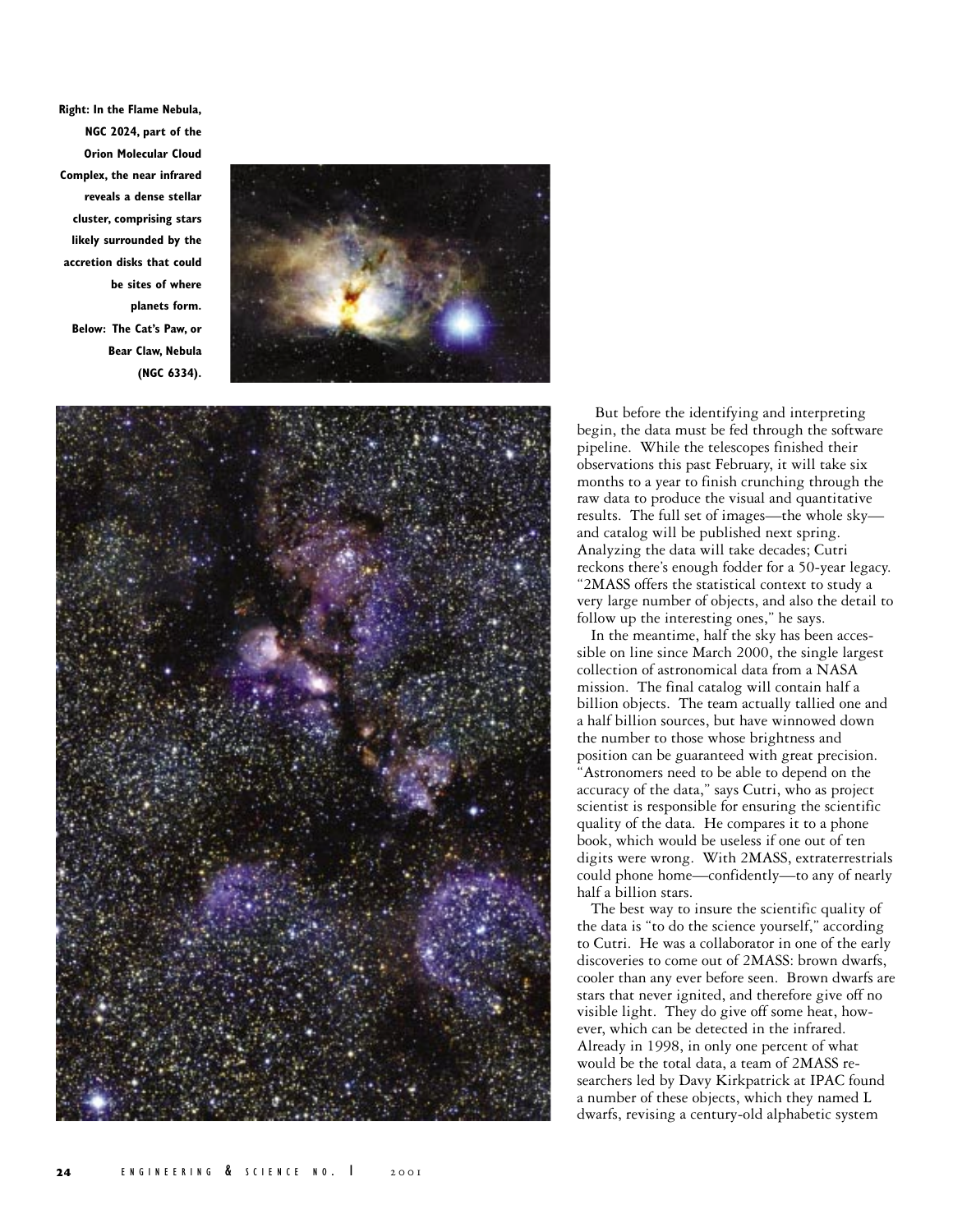**Right: In the Flame Nebula, NGC 2024, part of the Orion Molecular Cloud Complex, the near infrared reveals a dense stellar cluster, comprising stars likely surrounded by the accretion disks that could be sites of where planets form. Below: The Cat's Paw, or Bear Claw, Nebula (NGC 6334).**





 But before the identifying and interpreting begin, the data must be fed through the software pipeline. While the telescopes finished their observations this past February, it will take six months to a year to finish crunching through the raw data to produce the visual and quantitative results. The full set of images—the whole sky and catalog will be published next spring. Analyzing the data will take decades; Cutri reckons there's enough fodder for a 50-year legacy. "2MASS offers the statistical context to study a very large number of objects, and also the detail to follow up the interesting ones," he says.

In the meantime, half the sky has been accessible on line since March 2000, the single largest collection of astronomical data from a NASA mission. The final catalog will contain half a billion objects. The team actually tallied one and a half billion sources, but have winnowed down the number to those whose brightness and position can be guaranteed with great precision. "Astronomers need to be able to depend on the accuracy of the data," says Cutri, who as project scientist is responsible for ensuring the scientific quality of the data. He compares it to a phone book, which would be useless if one out of ten digits were wrong. With 2MASS, extraterrestrials could phone home—confidently—to any of nearly half a billion stars.

The best way to insure the scientific quality of the data is "to do the science yourself," according to Cutri. He was a collaborator in one of the early discoveries to come out of 2MASS: brown dwarfs, cooler than any ever before seen. Brown dwarfs are stars that never ignited, and therefore give off no visible light. They do give off some heat, however, which can be detected in the infrared. Already in 1998, in only one percent of what would be the total data, a team of 2MASS researchers led by Davy Kirkpatrick at IPAC found a number of these objects, which they named L dwarfs, revising a century-old alphabetic system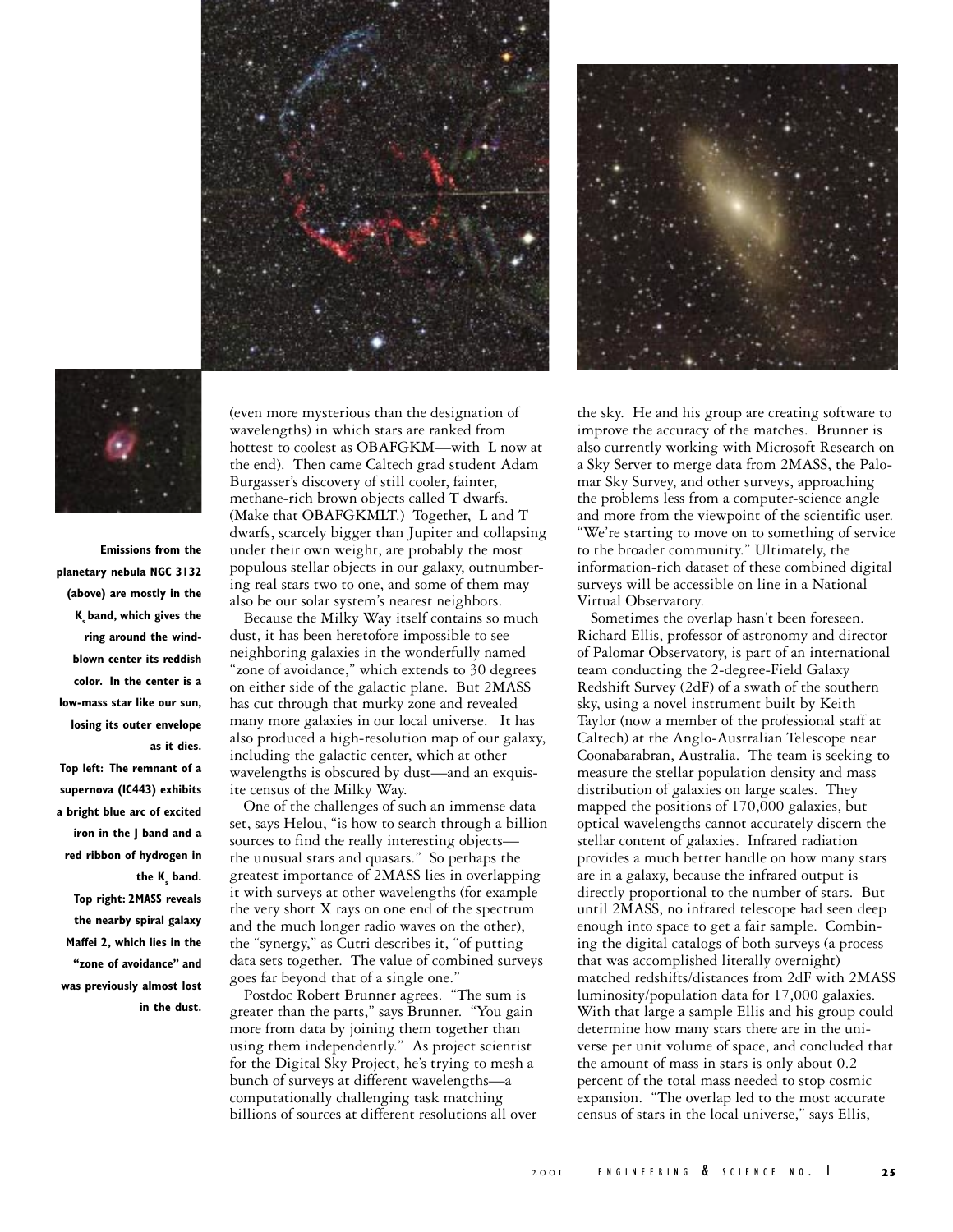





**Emissions from the planetary nebula NGC 3132 (above) are mostly in the K**<sub>s</sub> band, which gives the **ring around the windblown center its reddish color. In the center is a low-mass star like our sun, losing its outer envelope as it dies.**

**Top left: The remnant of a supernova (IC443) exhibits a bright blue arc of excited iron in the J band and a red ribbon of hydrogen in** the K<sub>s</sub> band. **Top right: 2MASS reveals the nearby spiral galaxy Maffei 2, which lies in the**

**"zone of avoidance" and was previously almost lost in the dust.**

(even more mysterious than the designation of wavelengths) in which stars are ranked from hottest to coolest as OBAFGKM—with L now at the end). Then came Caltech grad student Adam Burgasser's discovery of still cooler, fainter, methane-rich brown objects called T dwarfs. (Make that OBAFGKMLT.) Together, L and T dwarfs, scarcely bigger than Jupiter and collapsing under their own weight, are probably the most populous stellar objects in our galaxy, outnumbering real stars two to one, and some of them may also be our solar system's nearest neighbors.

Because the Milky Way itself contains so much dust, it has been heretofore impossible to see neighboring galaxies in the wonderfully named "zone of avoidance," which extends to 30 degrees on either side of the galactic plane. But 2MASS has cut through that murky zone and revealed many more galaxies in our local universe. It has also produced a high-resolution map of our galaxy, including the galactic center, which at other wavelengths is obscured by dust—and an exquisite census of the Milky Way.

One of the challenges of such an immense data set, says Helou, "is how to search through a billion sources to find the really interesting objects the unusual stars and quasars." So perhaps the greatest importance of 2MASS lies in overlapping it with surveys at other wavelengths (for example the very short X rays on one end of the spectrum and the much longer radio waves on the other), the "synergy," as Cutri describes it, "of putting data sets together. The value of combined surveys goes far beyond that of a single one."

Postdoc Robert Brunner agrees. "The sum is greater than the parts," says Brunner. "You gain more from data by joining them together than using them independently." As project scientist for the Digital Sky Project, he's trying to mesh a bunch of surveys at different wavelengths—a computationally challenging task matching billions of sources at different resolutions all over the sky. He and his group are creating software to improve the accuracy of the matches. Brunner is also currently working with Microsoft Research on a Sky Server to merge data from 2MASS, the Palomar Sky Survey, and other surveys, approaching the problems less from a computer-science angle and more from the viewpoint of the scientific user. "We're starting to move on to something of service to the broader community." Ultimately, the information-rich dataset of these combined digital surveys will be accessible on line in a National Virtual Observatory.

Sometimes the overlap hasn't been foreseen. Richard Ellis, professor of astronomy and director of Palomar Observatory, is part of an international team conducting the 2-degree-Field Galaxy Redshift Survey (2dF) of a swath of the southern sky, using a novel instrument built by Keith Taylor (now a member of the professional staff at Caltech) at the Anglo-Australian Telescope near Coonabarabran, Australia. The team is seeking to measure the stellar population density and mass distribution of galaxies on large scales. They mapped the positions of 170,000 galaxies, but optical wavelengths cannot accurately discern the stellar content of galaxies. Infrared radiation provides a much better handle on how many stars are in a galaxy, because the infrared output is directly proportional to the number of stars. But until 2MASS, no infrared telescope had seen deep enough into space to get a fair sample. Combining the digital catalogs of both surveys (a process that was accomplished literally overnight) matched redshifts/distances from 2dF with 2MASS luminosity/population data for 17,000 galaxies. With that large a sample Ellis and his group could determine how many stars there are in the universe per unit volume of space, and concluded that the amount of mass in stars is only about 0.2 percent of the total mass needed to stop cosmic expansion. "The overlap led to the most accurate census of stars in the local universe," says Ellis,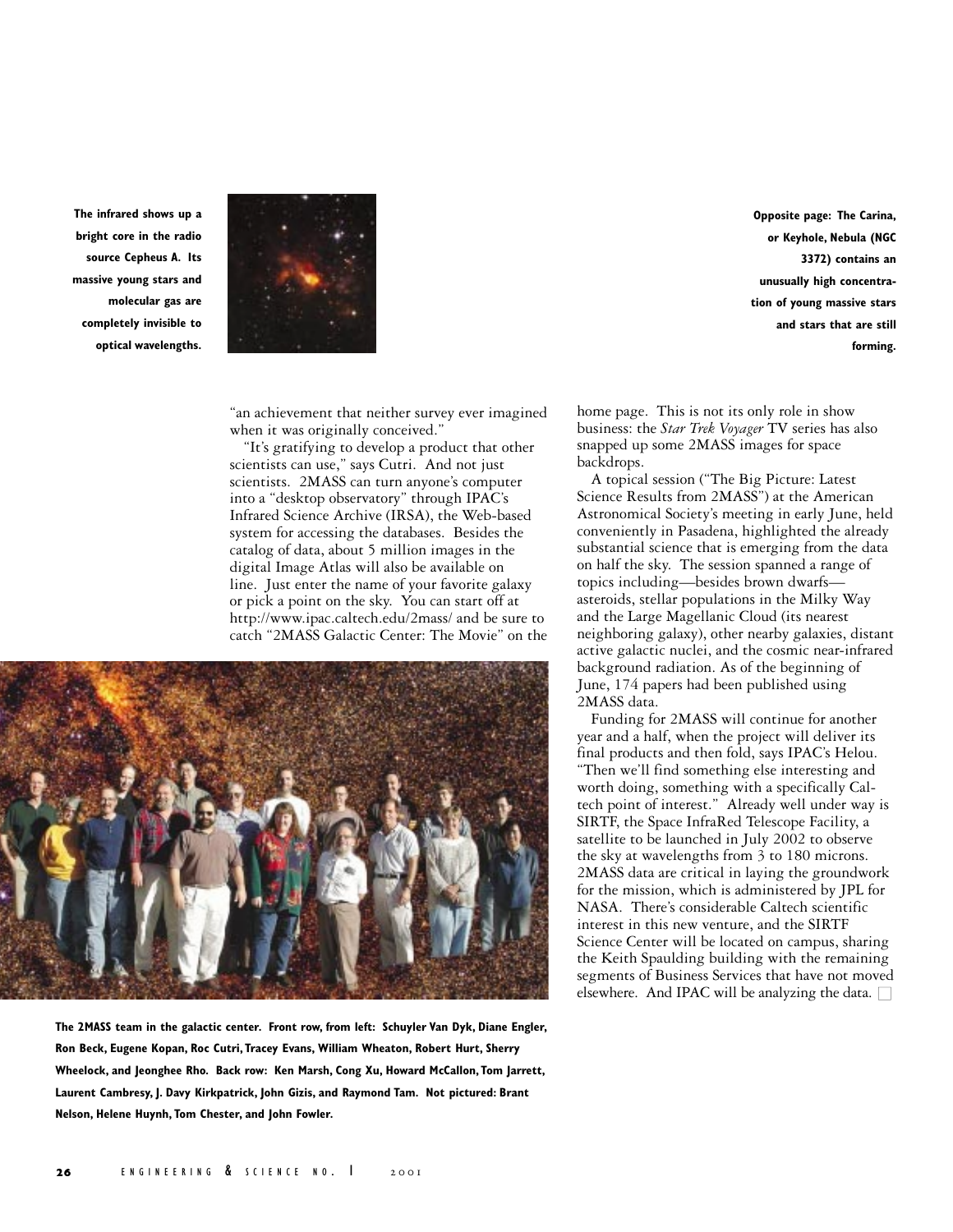**The infrared shows up a bright core in the radio source Cepheus A. Its massive young stars and molecular gas are completely invisible to optical wavelengths.**



**Opposite page: The Carina, or Keyhole, Nebula (NGC 3372) contains an unusually high concentration of young massive stars and stars that are still forming.**

"an achievement that neither survey ever imagined when it was originally conceived."

"It's gratifying to develop a product that other scientists can use," says Cutri. And not just scientists. 2MASS can turn anyone's computer into a "desktop observatory" through IPAC's Infrared Science Archive (IRSA), the Web-based system for accessing the databases. Besides the catalog of data, about 5 million images in the digital Image Atlas will also be available on line. Just enter the name of your favorite galaxy or pick a point on the sky. You can start off at http://www.ipac.caltech.edu/2mass/ and be sure to catch "2MASS Galactic Center: The Movie" on the



**The 2MASS team in the galactic center. Front row, from left: Schuyler Van Dyk, Diane Engler, Ron Beck, Eugene Kopan, Roc Cutri, Tracey Evans, William Wheaton, Robert Hurt, Sherry Wheelock, and Jeonghee Rho. Back row: Ken Marsh, Cong Xu, Howard McCallon, Tom Jarrett, Laurent Cambresy, J. Davy Kirkpatrick, John Gizis, and Raymond Tam. Not pictured: Brant Nelson, Helene Huynh, Tom Chester, and John Fowler.**

home page. This is not its only role in show business: the *Star Trek Voyager* TV series has also snapped up some 2MASS images for space backdrops.

A topical session ("The Big Picture: Latest Science Results from 2MASS") at the American Astronomical Society's meeting in early June, held conveniently in Pasadena, highlighted the already substantial science that is emerging from the data on half the sky. The session spanned a range of topics including—besides brown dwarfs asteroids, stellar populations in the Milky Way and the Large Magellanic Cloud (its nearest neighboring galaxy), other nearby galaxies, distant active galactic nuclei, and the cosmic near-infrared background radiation. As of the beginning of June, 174 papers had been published using 2MASS data.

Funding for 2MASS will continue for another year and a half, when the project will deliver its final products and then fold, says IPAC's Helou. "Then we'll find something else interesting and worth doing, something with a specifically Caltech point of interest." Already well under way is SIRTF, the Space InfraRed Telescope Facility, a satellite to be launched in July 2002 to observe the sky at wavelengths from 3 to 180 microns. 2MASS data are critical in laying the groundwork for the mission, which is administered by JPL for NASA. There's considerable Caltech scientific interest in this new venture, and the SIRTF Science Center will be located on campus, sharing the Keith Spaulding building with the remaining segments of Business Services that have not moved elsewhere. And IPAC will be analyzing the data.  $\Box$